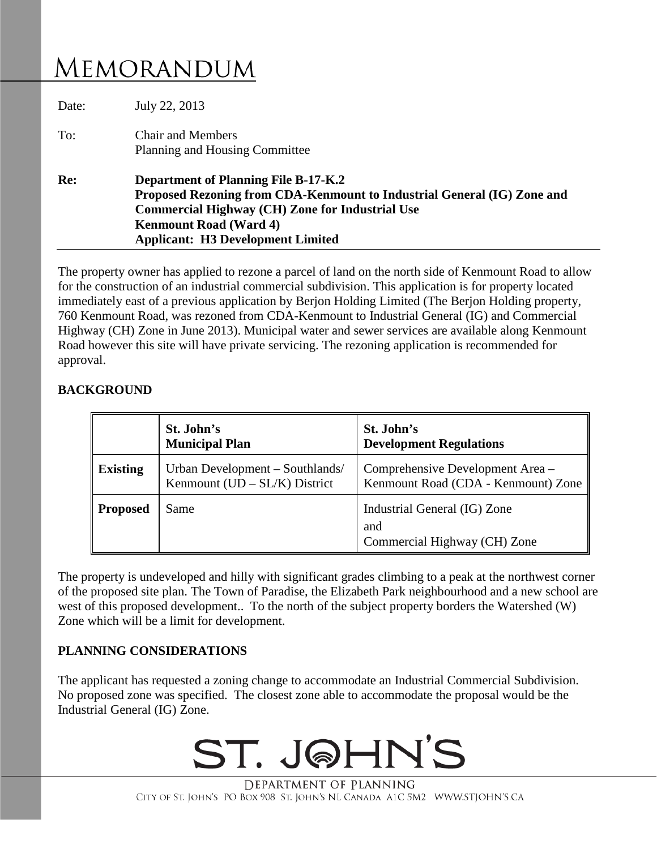## MEMORANDUM

| Date: | July 22, 2013                                                                                                                                                                                                                                                 |  |  |
|-------|---------------------------------------------------------------------------------------------------------------------------------------------------------------------------------------------------------------------------------------------------------------|--|--|
| To:   | <b>Chair and Members</b><br>Planning and Housing Committee                                                                                                                                                                                                    |  |  |
| Re:   | <b>Department of Planning File B-17-K.2</b><br>Proposed Rezoning from CDA-Kenmount to Industrial General (IG) Zone and<br><b>Commercial Highway (CH) Zone for Industrial Use</b><br><b>Kenmount Road (Ward 4)</b><br><b>Applicant: H3 Development Limited</b> |  |  |

The property owner has applied to rezone a parcel of land on the north side of Kenmount Road to allow for the construction of an industrial commercial subdivision. This application is for property located immediately east of a previous application by Berjon Holding Limited (The Berjon Holding property, 760 Kenmount Road, was rezoned from CDA-Kenmount to Industrial General (IG) and Commercial Highway (CH) Zone in June 2013). Municipal water and sewer services are available along Kenmount Road however this site will have private servicing. The rezoning application is recommended for approval.

## **BACKGROUND**

|                 | St. John's<br><b>Municipal Plan</b>                                | St. John's<br><b>Development Regulations</b>                            |
|-----------------|--------------------------------------------------------------------|-------------------------------------------------------------------------|
| <b>Existing</b> | Urban Development - Southlands/<br>Kenmount $(UD - SL/K)$ District | Comprehensive Development Area –<br>Kenmount Road (CDA - Kenmount) Zone |
| <b>Proposed</b> | Same                                                               | Industrial General (IG) Zone<br>and<br>Commercial Highway (CH) Zone     |

The property is undeveloped and hilly with significant grades climbing to a peak at the northwest corner of the proposed site plan. The Town of Paradise, the Elizabeth Park neighbourhood and a new school are west of this proposed development.. To the north of the subject property borders the Watershed (W) Zone which will be a limit for development.

## **PLANNING CONSIDERATIONS**

The applicant has requested a zoning change to accommodate an Industrial Commercial Subdivision. No proposed zone was specified. The closest zone able to accommodate the proposal would be the Industrial General (IG) Zone.



DEPARTMENT OF PLANNING CITY OF ST. JOHN'S PO BOX 908 ST. JOHN'S NL CANADA A1C 5M2 WWW.STJOHN'S.CA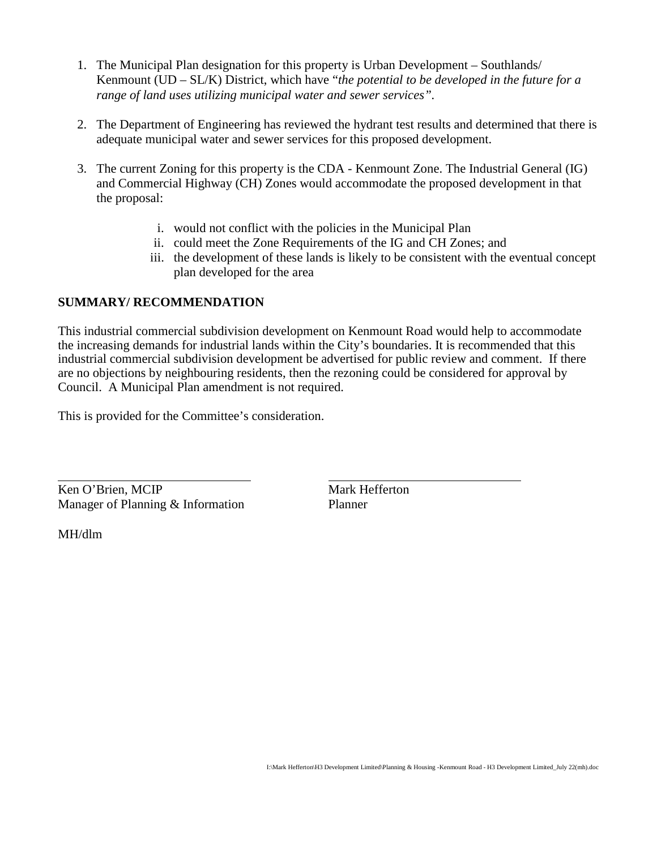- 1. The Municipal Plan designation for this property is Urban Development Southlands/ Kenmount (UD – SL/K) District, which have "*the potential to be developed in the future for a range of land uses utilizing municipal water and sewer services".*
- 2. The Department of Engineering has reviewed the hydrant test results and determined that there is adequate municipal water and sewer services for this proposed development.
- 3. The current Zoning for this property is the CDA Kenmount Zone. The Industrial General (IG) and Commercial Highway (CH) Zones would accommodate the proposed development in that the proposal:
	- i. would not conflict with the policies in the Municipal Plan
	- ii. could meet the Zone Requirements of the IG and CH Zones; and
	- iii. the development of these lands is likely to be consistent with the eventual concept plan developed for the area

## **SUMMARY/ RECOMMENDATION**

This industrial commercial subdivision development on Kenmount Road would help to accommodate the increasing demands for industrial lands within the City's boundaries. It is recommended that this industrial commercial subdivision development be advertised for public review and comment. If there are no objections by neighbouring residents, then the rezoning could be considered for approval by Council. A Municipal Plan amendment is not required.

This is provided for the Committee's consideration.

Ken O'Brien, MCIP Mark Hefferton Manager of Planning & Information Planner

MH/dlm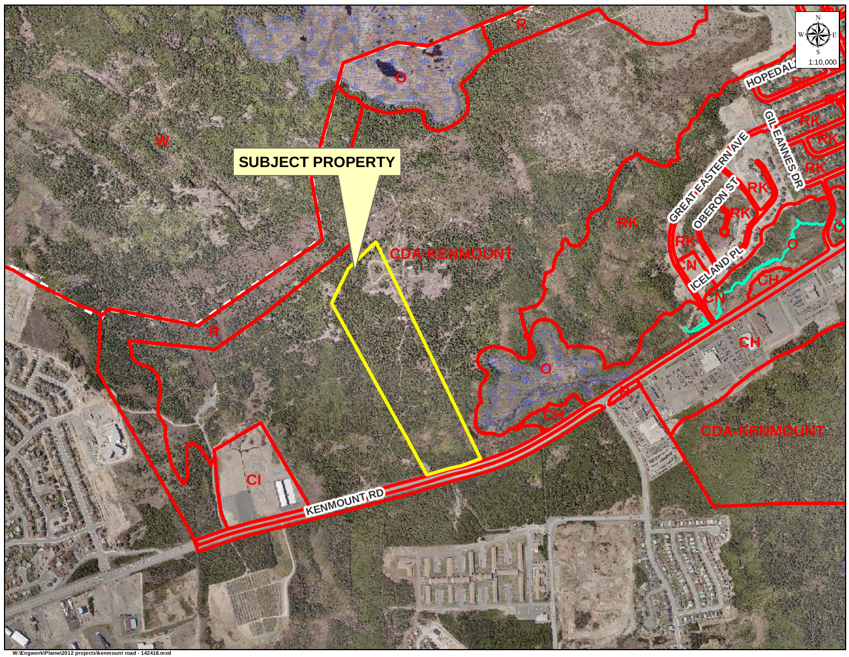